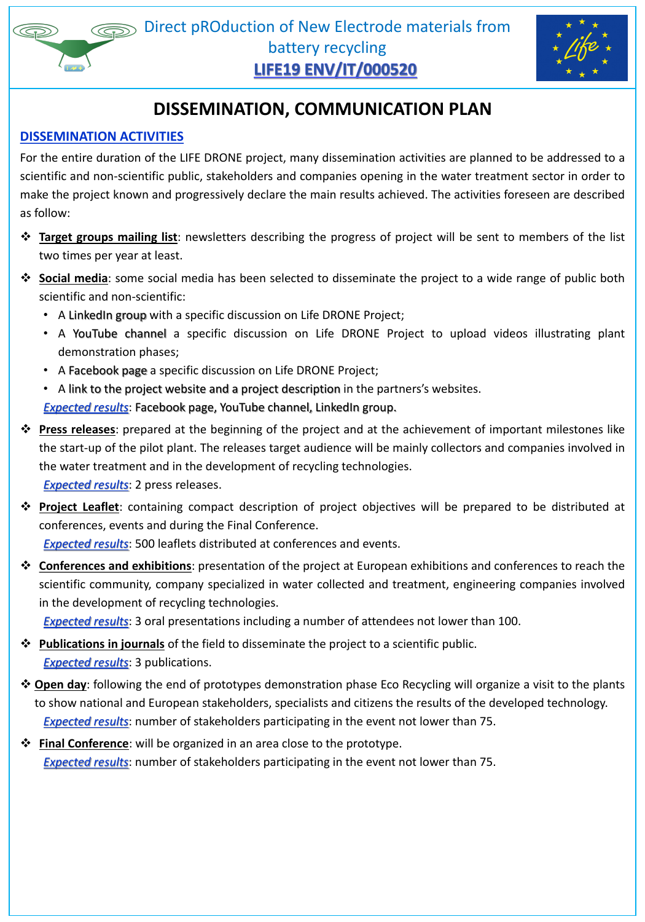

# **DISSEMINATION, COMMUNICATION PLAN**

#### **DISSEMINATION ACTIVITIES**

For the entire duration of the LIFE DRONE project, many dissemination activities are planned to be addressed to a scientific and non-scientific public, stakeholders and companies opening in the water treatment sector in order to make the project known and progressively declare the main results achieved. The activities foreseen are described as follow:

- ❖ **Target groups mailing list**: newsletters describing the progress of project will be sent to members of the list two times per year at least.
- ❖ **Social media**: some social media has been selected to disseminate the project to a wide range of public both

scientific and non-scientific:

- A LinkedIn group with a specific discussion on Life DRONE Project;
- A YouTube channel a specific discussion on Life DRONE Project to upload videos illustrating plant demonstration phases;
- A Facebook page a specific discussion on Life DRONE Project;
- A link to the project website and a project description in the partners's websites. **Expected results:** Facebook page, YouTube channel, LinkedIn group.
- ❖ **Press releases**: prepared at the beginning of the project and at the achievement of important milestones like the start-up of the pilot plant. The releases target audience will be mainly collectors and companies involved in the water treatment and in the development of recycling technologies. *Expected results*: 2 press releases.
- ❖ **Project Leaflet**: containing compact description of project objectives will be prepared to be distributed at conferences, events and during the Final Conference.

*Expected results*: 500 leaflets distributed at conferences and events.

❖ **Conferences and exhibitions**: presentation of the project at European exhibitions and conferences to reach the scientific community, company specialized in water collected and treatment, engineering companies involved

in the development of recycling technologies.

*Expected results*: 3 oral presentations including a number of attendees not lower than 100.

- ❖ **Publications in journals** of the field to disseminate the project to a scientific public. *Expected results*: 3 publications.
- ❖ **Open day**: following the end of prototypes demonstration phase Eco Recycling will organize a visit to the plants to show national and European stakeholders, specialists and citizens the results of the developed technology. *Expected results*: number of stakeholders participating in the event not lower than 75.
- ❖ **Final Conference**: will be organized in an area close to the prototype.

*Expected results*: number of stakeholders participating in the event not lower than 75.